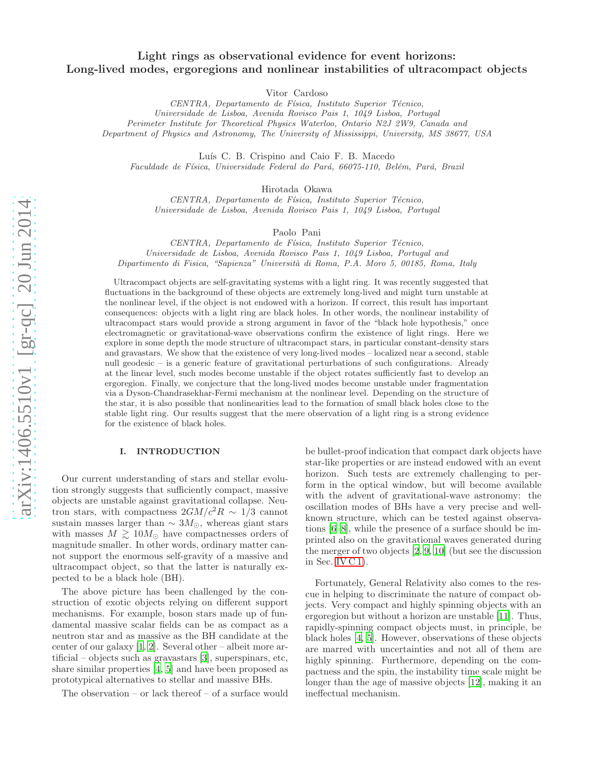# Light rings as observational evidence for event horizons: Long-lived modes, ergoregions and nonlinear instabilities of ultracompact objects

Vitor Cardoso

*CENTRA, Departamento de F´ısica, Instituto Superior T´ecnico, Universidade de Lisboa, Avenida Rovisco Pais 1, 1049 Lisboa, Portugal Perimeter Institute for Theoretical Physics Waterloo, Ontario N2J 2W9, Canada and Department of Physics and Astronomy, The University of Mississippi, University, MS 38677, USA*

Luís C. B. Crispino and Caio F. B. Macedo *Faculdade de F´ısica, Universidade Federal do Par´a, 66075-110, Bel´em, Par´a, Brazil*

Hirotada Okawa

*CENTRA, Departamento de F´ısica, Instituto Superior T´ecnico, Universidade de Lisboa, Avenida Rovisco Pais 1, 1049 Lisboa, Portugal*

Paolo Pani

*CENTRA, Departamento de F´ısica, Instituto Superior T´ecnico, Universidade de Lisboa, Avenida Rovisco Pais 1, 1049 Lisboa, Portugal and Dipartimento di Fisica, "Sapienza" Universit`a di Roma, P.A. Moro 5, 00185, Roma, Italy*

Ultracompact objects are self-gravitating systems with a light ring. It was recently suggested that fluctuations in the background of these objects are extremely long-lived and might turn unstable at the nonlinear level, if the object is not endowed with a horizon. If correct, this result has important consequences: objects with a light ring are black holes. In other words, the nonlinear instability of ultracompact stars would provide a strong argument in favor of the "black hole hypothesis," once electromagnetic or gravitational-wave observations confirm the existence of light rings. Here we explore in some depth the mode structure of ultracompact stars, in particular constant-density stars and gravastars. We show that the existence of very long-lived modes – localized near a second, stable null geodesic – is a generic feature of gravitational perturbations of such configurations. Already at the linear level, such modes become unstable if the object rotates sufficiently fast to develop an ergoregion. Finally, we conjecture that the long-lived modes become unstable under fragmentation via a Dyson-Chandrasekhar-Fermi mechanism at the nonlinear level. Depending on the structure of the star, it is also possible that nonlinearities lead to the formation of small black holes close to the stable light ring. Our results suggest that the mere observation of a light ring is a strong evidence for the existence of black holes.

### I. INTRODUCTION

Our current understanding of stars and stellar evolution strongly suggests that sufficiently compact, massive objects are unstable against gravitational collapse. Neutron stars, with compactness  $2GM/c^2R \sim 1/3$  cannot sustain masses larger than  $\sim 3M_{\odot}$ , whereas giant stars with masses  $M \gtrsim 10 M_{\odot}$  have compactnesses orders of magnitude smaller. In other words, ordinary matter cannot support the enormous self-gravity of a massive and ultracompact object, so that the latter is naturally expected to be a black hole (BH).

The above picture has been challenged by the construction of exotic objects relying on different support mechanisms. For example, boson stars made up of fundamental massive scalar fields can be as compact as a neutron star and as massive as the BH candidate at the center of our galaxy [\[1](#page-8-0), [2](#page-8-1)]. Several other – albeit more artificial – objects such as gravastars [\[3\]](#page-8-2), superspinars, etc, share similar properties [\[4,](#page-8-3) [5](#page-8-4)] and have been proposed as prototypical alternatives to stellar and massive BHs.

The observation – or lack thereof – of a surface would

be bullet-proof indication that compact dark objects have star-like properties or are instead endowed with an event horizon. Such tests are extremely challenging to perform in the optical window, but will become available with the advent of gravitational-wave astronomy: the oscillation modes of BHs have a very precise and wellknown structure, which can be tested against observations [\[6](#page-8-5)[–8\]](#page-8-6), while the presence of a surface should be imprinted also on the gravitational waves generated during the merger of two objects [\[2](#page-8-1), [9](#page-8-7), [10\]](#page-8-8) (but see the discussion in Sec. IV  $C$  1).

Fortunately, General Relativity also comes to the rescue in helping to discriminate the nature of compact objects. Very compact and highly spinning objects with an ergoregion but without a horizon are unstable [\[11\]](#page-8-9). Thus, rapidly-spinning compact objects must, in principle, be black holes [\[4](#page-8-3), [5\]](#page-8-4). However, observations of these objects are marred with uncertainties and not all of them are highly spinning. Furthermore, depending on the compactness and the spin, the instability time scale might be longer than the age of massive objects [\[12](#page-8-10)], making it an ineffectual mechanism.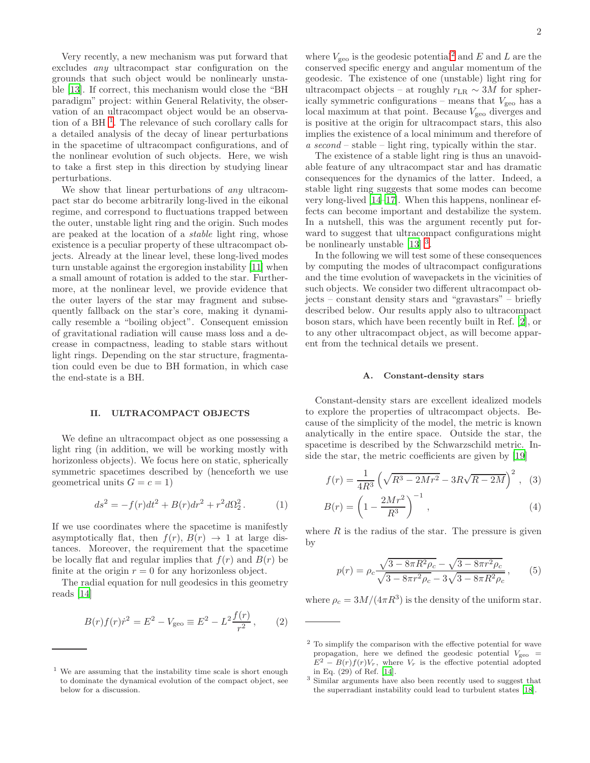Very recently, a new mechanism was put forward that excludes any ultracompact star configuration on the grounds that such object would be nonlinearly unstable [\[13\]](#page-8-11). If correct, this mechanism would close the "BH paradigm" project: within General Relativity, the observation of an ultracompact object would be an observation of a BH $<sup>1</sup>$  $<sup>1</sup>$  $<sup>1</sup>$ . The relevance of such corollary calls for</sup> a detailed analysis of the decay of linear perturbations in the spacetime of ultracompact configurations, and of the nonlinear evolution of such objects. Here, we wish to take a first step in this direction by studying linear perturbations.

We show that linear perturbations of *any* ultracompact star do become arbitrarily long-lived in the eikonal regime, and correspond to fluctuations trapped between the outer, unstable light ring and the origin. Such modes are peaked at the location of a stable light ring, whose existence is a peculiar property of these ultracompact objects. Already at the linear level, these long-lived modes turn unstable against the ergoregion instability [\[11](#page-8-9)] when a small amount of rotation is added to the star. Furthermore, at the nonlinear level, we provide evidence that the outer layers of the star may fragment and subsequently fallback on the star's core, making it dynamically resemble a "boiling object". Consequent emission of gravitational radiation will cause mass loss and a decrease in compactness, leading to stable stars without light rings. Depending on the star structure, fragmentation could even be due to BH formation, in which case the end-state is a BH.

### II. ULTRACOMPACT OBJECTS

We define an ultracompact object as one possessing a light ring (in addition, we will be working mostly with horizonless objects). We focus here on static, spherically symmetric spacetimes described by (henceforth we use geometrical units  $G = c = 1$ 

<span id="page-1-3"></span>
$$
ds^{2} = -f(r)dt^{2} + B(r)dr^{2} + r^{2}d\Omega_{2}^{2}.
$$
 (1)

If we use coordinates where the spacetime is manifestly asymptotically flat, then  $f(r)$ ,  $B(r) \rightarrow 1$  at large distances. Moreover, the requirement that the spacetime be locally flat and regular implies that  $f(r)$  and  $B(r)$  be finite at the origin  $r = 0$  for any horizonless object.

The radial equation for null geodesics in this geometry reads [\[14\]](#page-8-12)

$$
B(r)f(r)\dot{r}^2 = E^2 - V_{\text{geo}} \equiv E^2 - L^2 \frac{f(r)}{r^2},\qquad(2)
$$

where  $V_{\text{geo}}$  is the geodesic potential<sup>[2](#page-1-1)</sup> and E and L are the conserved specific energy and angular momentum of the geodesic. The existence of one (unstable) light ring for ultracompact objects – at roughly  $r_{LR}$  ~ 3M for spherically symmetric configurations – means that  $V_{\text{geo}}$  has a local maximum at that point. Because  $V_{\text{geo}}$  diverges and is positive at the origin for ultracompact stars, this also implies the existence of a local minimum and therefore of a second – stable – light ring, typically within the star.

The existence of a stable light ring is thus an unavoidable feature of any ultracompact star and has dramatic consequences for the dynamics of the latter. Indeed, a stable light ring suggests that some modes can become very long-lived [\[14](#page-8-12)[–17\]](#page-8-13). When this happens, nonlinear effects can become important and destabilize the system. In a nutshell, this was the argument recently put forward to suggest that ultracompact configurations might be nonlinearly unstable  $[13]$  $[13]$  $[13]$ <sup>3</sup>.

In the following we will test some of these consequences by computing the modes of ultracompact configurations and the time evolution of wavepackets in the vicinities of such objects. We consider two different ultracompact objects – constant density stars and "gravastars" – briefly described below. Our results apply also to ultracompact boson stars, which have been recently built in Ref. [\[2\]](#page-8-1), or to any other ultracompact object, as will become apparent from the technical details we present.

#### A. Constant-density stars

Constant-density stars are excellent idealized models to explore the properties of ultracompact objects. Because of the simplicity of the model, the metric is known analytically in the entire space. Outside the star, the spacetime is described by the Schwarzschild metric. Inside the star, the metric coefficients are given by [\[19\]](#page-9-0)

$$
f(r) = \frac{1}{4R^3} \left( \sqrt{R^3 - 2Mr^2} - 3R\sqrt{R - 2M} \right)^2, \quad (3)
$$

$$
B(r) = \left(1 - \frac{2Mr^2}{R^3}\right)^{-1},\tag{4}
$$

where  $R$  is the radius of the star. The pressure is given by

$$
p(r) = \rho_c \frac{\sqrt{3 - 8\pi R^2 \rho_c} - \sqrt{3 - 8\pi r^2 \rho_c}}{\sqrt{3 - 8\pi r^2 \rho_c} - 3\sqrt{3 - 8\pi R^2 \rho_c}},
$$
(5)

where  $\rho_c = 3M/(4\pi R^3)$  is the density of the uniform star.

<span id="page-1-0"></span><sup>1</sup> We are assuming that the instability time scale is short enough to dominate the dynamical evolution of the compact object, see below for a discussion.

<span id="page-1-1"></span><sup>2</sup> To simplify the comparison with the effective potential for wave propagation, here we defined the geodesic potential  $V_{\text{geo}} =$  $E^2 - B(r)f(r)V_r$ , where  $V_r$  is the effective potential adopted in Eq. (29) of Ref. [\[14\]](#page-8-12).

<span id="page-1-2"></span><sup>3</sup> Similar arguments have also been recently used to suggest that the superradiant instability could lead to turbulent states [\[18\]](#page-8-14).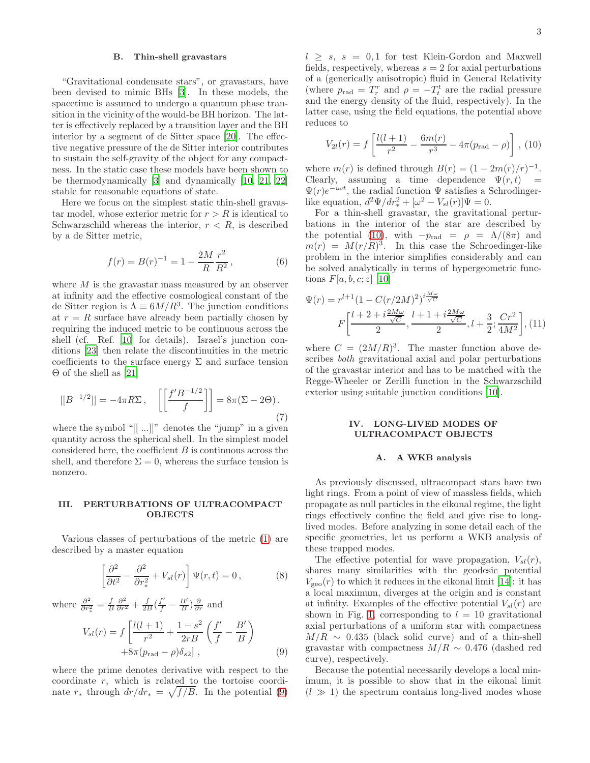#### B. Thin-shell gravastars

"Gravitational condensate stars", or gravastars, have been devised to mimic BHs [\[3\]](#page-8-2). In these models, the spacetime is assumed to undergo a quantum phase transition in the vicinity of the would-be BH horizon. The latter is effectively replaced by a transition layer and the BH interior by a segment of de Sitter space [\[20\]](#page-9-1). The effective negative pressure of the de Sitter interior contributes to sustain the self-gravity of the object for any compactness. In the static case these models have been shown to be thermodynamically [\[3\]](#page-8-2) and dynamically [\[10](#page-8-8), [21](#page-9-2), [22](#page-9-3)] stable for reasonable equations of state.

Here we focus on the simplest static thin-shell gravastar model, whose exterior metric for  $r > R$  is identical to Schwarzschild whereas the interior,  $r < R$ , is described by a de Sitter metric,

$$
f(r) = B(r)^{-1} = 1 - \frac{2M}{R} \frac{r^2}{R^2},
$$
 (6)

where  $M$  is the gravastar mass measured by an observer at infinity and the effective cosmological constant of the de Sitter region is  $\Lambda = 6M/R^3$ . The junction conditions at  $r = R$  surface have already been partially chosen by requiring the induced metric to be continuous across the shell (cf. Ref. [\[10\]](#page-8-8) for details). Israel's junction conditions [\[23\]](#page-9-4) then relate the discontinuities in the metric coefficients to the surface energy  $\Sigma$  and surface tension  $\Theta$  of the shell as [\[21](#page-9-2)]

$$
\left\[ [B^{-1/2}] \right] = -4\pi R \Sigma, \quad \left[ \left[ \frac{f'B^{-1/2}}{f} \right] \right] = 8\pi (\Sigma - 2\Theta). \tag{7}
$$

where the symbol " $[[...]$ " denotes the "jump" in a given quantity across the spherical shell. In the simplest model considered here, the coefficient  $B$  is continuous across the shell, and therefore  $\Sigma = 0$ , whereas the surface tension is nonzero.

# III. PERTURBATIONS OF ULTRACOMPACT OBJECTS

Various classes of perturbations of the metric [\(1\)](#page-1-3) are described by a master equation

$$
\left[\frac{\partial^2}{\partial t^2} - \frac{\partial^2}{\partial r_*^2} + V_{sl}(r)\right] \Psi(r, t) = 0, \qquad (8)
$$

where  $\frac{\partial^2}{\partial x^2}$  $\frac{\partial^2}{\partial r_*^2} = \frac{f}{B} \frac{\partial^2}{\partial r^2} + \frac{f}{2B} (\frac{f'}{f} - \frac{B'}{B}) \frac{\partial}{\partial r}$  and

<span id="page-2-0"></span>
$$
V_{sl}(r) = f \left[ \frac{l(l+1)}{r^2} + \frac{1-s^2}{2rB} \left( \frac{f'}{f} - \frac{B'}{B} \right) + 8\pi (p_{\text{rad}} - \rho) \delta_{s2} \right],
$$
 (9)

where the prime denotes derivative with respect to the coordinate r, which is related to the tortoise coordinate  $r_*$  through  $dr/dr_* = \sqrt{f/B}$ . In the potential [\(9\)](#page-2-0)

 $l \geq s$ ,  $s = 0, 1$  for test Klein-Gordon and Maxwell fields, respectively, whereas  $s = 2$  for axial perturbations of a (generically anisotropic) fluid in General Relativity (where  $p_{\text{rad}} = T_r^r$  and  $\rho = -T_t^t$  are the radial pressure and the energy density of the fluid, respectively). In the latter case, using the field equations, the potential above reduces to

<span id="page-2-1"></span>
$$
V_{2l}(r) = f\left[\frac{l(l+1)}{r^2} - \frac{6m(r)}{r^3} - 4\pi(p_{\text{rad}} - \rho)\right], (10)
$$

where  $m(r)$  is defined through  $B(r) = (1 - 2m(r)/r)^{-1}$ . Clearly, assuming a time dependence  $\Psi(r, t)$  $\Psi(r)e^{-i\omega t}$ , the radial function  $\Psi$  satisfies a Schrodingerlike equation,  $d^2\Psi/dr_*^2 + [\omega^2 - V_{sl}(r)]\Psi = 0.$ 

For a thin-shell gravastar, the gravitational perturbations in the interior of the star are described by the potential [\(10\)](#page-2-1), with  $-p_{rad} = \rho = \Lambda/(8\pi)$  and  $m(r) = M(r/R)^3$ . In this case the Schroedinger-like problem in the interior simplifies considerably and can be solved analytically in terms of hypergeometric functions  $F[a, b, c; z]$  [\[10\]](#page-8-8)

<span id="page-2-2"></span>
$$
\Psi(r) = r^{l+1} (1 - C(r/2M)^2)^i \frac{M\omega}{\sqrt{C}}
$$
\n
$$
F\left[\frac{l+2 + i\frac{2M\omega}{\sqrt{C}}}{2}, \frac{l+1 + i\frac{2M\omega}{\sqrt{C}}}{2}, l + \frac{3}{2}; \frac{Cr^2}{4M^2}\right],
$$
\n(11)

where  $C = (2M/R)^3$ . The master function above describes both gravitational axial and polar perturbations of the gravastar interior and has to be matched with the Regge-Wheeler or Zerilli function in the Schwarzschild exterior using suitable junction conditions [\[10\]](#page-8-8).

### IV. LONG-LIVED MODES OF ULTRACOMPACT OBJECTS

#### A. A WKB analysis

As previously discussed, ultracompact stars have two light rings. From a point of view of massless fields, which propagate as null particles in the eikonal regime, the light rings effectively confine the field and give rise to longlived modes. Before analyzing in some detail each of the specific geometries, let us perform a WKB analysis of these trapped modes.

The effective potential for wave propagation,  $V_{sl}(r)$ , shares many similarities with the geodesic potential  $V_{\rm geo}(r)$  to which it reduces in the eikonal limit [\[14\]](#page-8-12): it has a local maximum, diverges at the origin and is constant at infinity. Examples of the effective potential  $V_{sl}(r)$  are shown in Fig. [1,](#page-3-0) corresponding to  $l = 10$  gravitational axial perturbations of a uniform star with compactness  $M/R \sim 0.435$  (black solid curve) and of a thin-shell gravastar with compactness  $M/R \sim 0.476$  (dashed red curve), respectively.

Because the potential necessarily develops a local minimum, it is possible to show that in the eikonal limit  $(l \gg 1)$  the spectrum contains long-lived modes whose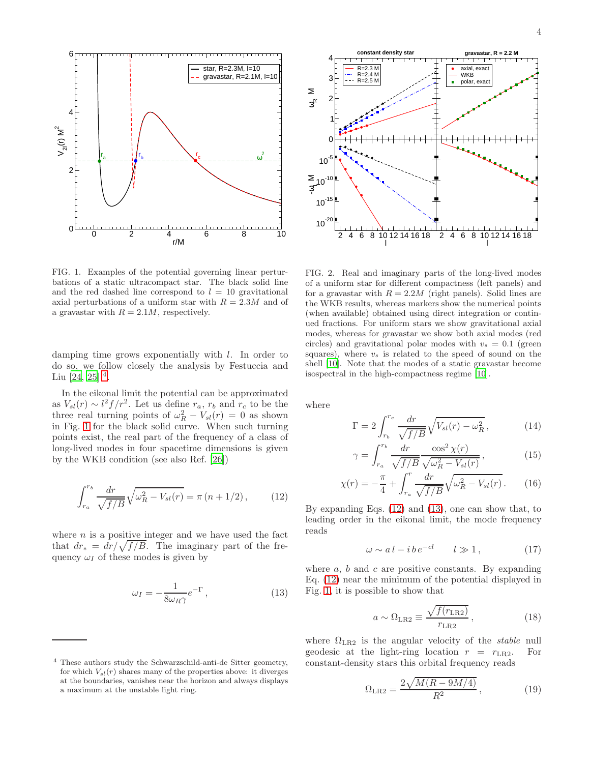

<span id="page-3-0"></span>FIG. 1. Examples of the potential governing linear perturbations of a static ultracompact star. The black solid line and the red dashed line correspond to  $l = 10$  gravitational axial perturbations of a uniform star with  $R = 2.3M$  and of a gravastar with  $R = 2.1M$ , respectively.

damping time grows exponentially with l. In order to do so, we follow closely the analysis by Festuccia and Liu  $[24, 25]$  $[24, 25]$ <sup>[4](#page-3-1)</sup>.

In the eikonal limit the potential can be approximated as  $V_{sl}(r) \sim l^2 f/r^2$ . Let us define  $r_a$ ,  $r_b$  and  $r_c$  to be the three real turning points of  $\omega_R^2 - V_{sl}(r) = 0$  as shown in Fig. [1](#page-3-0) for the black solid curve. When such turning points exist, the real part of the frequency of a class of long-lived modes in four spacetime dimensions is given by the WKB condition (see also Ref. [\[26\]](#page-9-7))

<span id="page-3-2"></span>
$$
\int_{r_a}^{r_b} \frac{dr}{\sqrt{f/B}} \sqrt{\omega_R^2 - V_{sl}(r)} = \pi (n + 1/2), \qquad (12)
$$

where  $n$  is a positive integer and we have used the fact that  $dr_* = dr / \sqrt{f/B}$ . The imaginary part of the frequency  $\omega_I$  of these modes is given by

<span id="page-3-3"></span>
$$
\omega_I = -\frac{1}{8\omega_R\gamma}e^{-\Gamma},\qquad(13)
$$



<span id="page-3-4"></span>FIG. 2. Real and imaginary parts of the long-lived modes of a uniform star for different compactness (left panels) and for a gravastar with  $R = 2.2M$  (right panels). Solid lines are the WKB results, whereas markers show the numerical points (when available) obtained using direct integration or continued fractions. For uniform stars we show gravitational axial modes, whereas for gravastar we show both axial modes (red circles) and gravitational polar modes with  $v_s = 0.1$  (green squares), where  $v<sub>s</sub>$  is related to the speed of sound on the shell [\[10](#page-8-8)]. Note that the modes of a static gravastar become isospectral in the high-compactness regime [\[10](#page-8-8)].

where

$$
\Gamma = 2 \int_{r_b}^{r_c} \frac{dr}{\sqrt{f/B}} \sqrt{V_{sl}(r) - \omega_R^2}, \qquad (14)
$$

$$
\gamma = \int_{r_a}^{r_b} \frac{dr}{\sqrt{f/B}} \frac{\cos^2 \chi(r)}{\sqrt{\omega_R^2 - V_{sl}(r)}},\qquad(15)
$$

$$
\chi(r) = -\frac{\pi}{4} + \int_{r_a}^{r} \frac{dr}{\sqrt{f/B}} \sqrt{\omega_R^2 - V_{sl}(r)}.
$$
 (16)

By expanding Eqs. [\(12\)](#page-3-2) and [\(13\)](#page-3-3), one can show that, to leading order in the eikonal limit, the mode frequency reads

<span id="page-3-5"></span>
$$
\omega \sim a l - i b e^{-cl} \qquad l \gg 1, \tag{17}
$$

where  $a, b$  and  $c$  are positive constants. By expanding Eq. [\(12\)](#page-3-2) near the minimum of the potential displayed in Fig. [1,](#page-3-0) it is possible to show that

$$
a \sim \Omega_{LR2} \equiv \frac{\sqrt{f(r_{LR2})}}{r_{LR2}},\tag{18}
$$

where  $\Omega_{LR2}$  is the angular velocity of the *stable* null geodesic at the light-ring location  $r = r_{LR2}$ . For constant-density stars this orbital frequency reads

$$
\Omega_{LR2} = \frac{2\sqrt{M(R - 9M/4)}}{R^2},\tag{19}
$$

<span id="page-3-1"></span><sup>4</sup> These authors study the Schwarzschild-anti-de Sitter geometry, for which  $V_{sl}(r)$  shares many of the properties above: it diverges at the boundaries, vanishes near the horizon and always displays a maximum at the unstable light ring.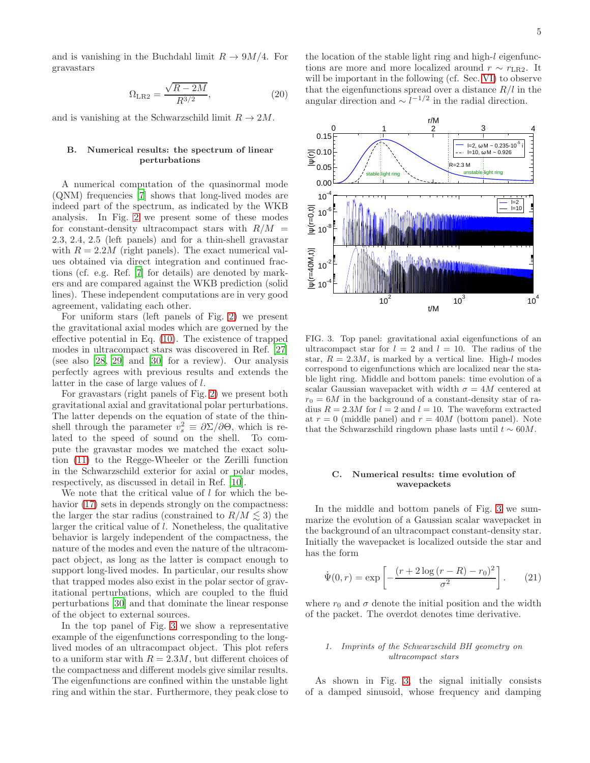and is vanishing in the Buchdahl limit  $R \to 9M/4$ . For gravastars

$$
\Omega_{LR2} = \frac{\sqrt{R - 2M}}{R^{3/2}},\tag{20}
$$

and is vanishing at the Schwarzschild limit  $R \to 2M$ .

# B. Numerical results: the spectrum of linear perturbations

A numerical computation of the quasinormal mode (QNM) frequencies [\[7\]](#page-8-15) shows that long-lived modes are indeed part of the spectrum, as indicated by the WKB analysis. In Fig. [2](#page-3-4) we present some of these modes for constant-density ultracompact stars with  $R/M =$ 2.3, 2.4, 2.5 (left panels) and for a thin-shell gravastar with  $R = 2.2M$  (right panels). The exact numerical values obtained via direct integration and continued fractions (cf. e.g. Ref. [\[7\]](#page-8-15) for details) are denoted by markers and are compared against the WKB prediction (solid lines). These independent computations are in very good agreement, validating each other.

For uniform stars (left panels of Fig. [2\)](#page-3-4) we present the gravitational axial modes which are governed by the effective potential in Eq. [\(10\)](#page-2-1). The existence of trapped modes in ultracompact stars was discovered in Ref. [\[27](#page-9-8)] (see also [\[28](#page-9-9), [29\]](#page-9-10) and [\[30](#page-9-11)] for a review). Our analysis perfectly agrees with previous results and extends the latter in the case of large values of l.

For gravastars (right panels of Fig. [2\)](#page-3-4) we present both gravitational axial and gravitational polar perturbations. The latter depends on the equation of state of the thinshell through the parameter  $v_s^2 \equiv \partial \Sigma / \partial \Theta$ , which is related to the speed of sound on the shell. To compute the gravastar modes we matched the exact solution [\(11\)](#page-2-2) to the Regge-Wheeler or the Zerilli function in the Schwarzschild exterior for axial or polar modes, respectively, as discussed in detail in Ref. [\[10](#page-8-8)].

We note that the critical value of  $l$  for which the behavior  $(17)$  sets in depends strongly on the compactness: the larger the star radius (constrained to  $R/M \lesssim 3$ ) the larger the critical value of l. Nonetheless, the qualitative behavior is largely independent of the compactness, the nature of the modes and even the nature of the ultracompact object, as long as the latter is compact enough to support long-lived modes. In particular, our results show that trapped modes also exist in the polar sector of gravitational perturbations, which are coupled to the fluid perturbations [\[30\]](#page-9-11) and that dominate the linear response of the object to external sources.

In the top panel of Fig. [3](#page-4-1) we show a representative example of the eigenfunctions corresponding to the longlived modes of an ultracompact object. This plot refers to a uniform star with  $R = 2.3M$ , but different choices of the compactness and different models give similar results. The eigenfunctions are confined within the unstable light ring and within the star. Furthermore, they peak close to the location of the stable light ring and high-l eigenfunctions are more and more localized around  $r \sim r_{LR2}$ . It will be important in the following (cf. Sec. [VI\)](#page-6-0) to observe that the eigenfunctions spread over a distance  $R/l$  in the angular direction and  $\sim l^{-1/2}$  in the radial direction.



<span id="page-4-1"></span>FIG. 3. Top panel: gravitational axial eigenfunctions of an ultracompact star for  $l = 2$  and  $l = 10$ . The radius of the star,  $R = 2.3M$ , is marked by a vertical line. High-l modes correspond to eigenfunctions which are localized near the stable light ring. Middle and bottom panels: time evolution of a scalar Gaussian wavepacket with width  $\sigma = 4M$  centered at  $r_0 = 6M$  in the background of a constant-density star of radius  $R = 2.3M$  for  $l = 2$  and  $l = 10$ . The waveform extracted at  $r = 0$  (middle panel) and  $r = 40M$  (bottom panel). Note that the Schwarzschild ringdown phase lasts until  $t \sim 60M$ .

### C. Numerical results: time evolution of wavepackets

In the middle and bottom panels of Fig. [3](#page-4-1) we summarize the evolution of a Gaussian scalar wavepacket in the background of an ultracompact constant-density star. Initially the wavepacket is localized outside the star and has the form

$$
\dot{\Psi}(0,r) = \exp\left[-\frac{(r+2\log(r-R)-r_0)^2}{\sigma^2}\right].
$$
 (21)

where  $r_0$  and  $\sigma$  denote the initial position and the width of the packet. The overdot denotes time derivative.

# <span id="page-4-0"></span>*1. Imprints of the Schwarzschild BH geometry on ultracompact stars*

As shown in Fig. [3,](#page-4-1) the signal initially consists of a damped sinusoid, whose frequency and damping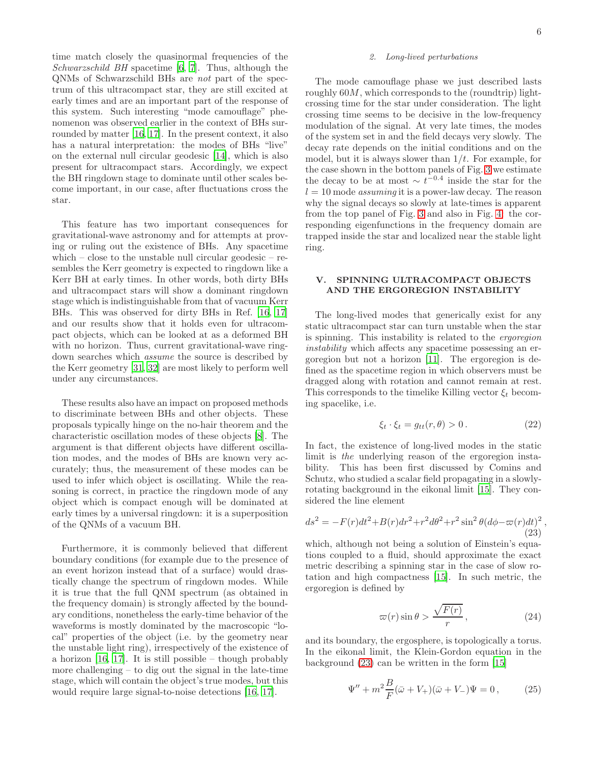time match closely the quasinormal frequencies of the Schwarzschild BH spacetime [\[6,](#page-8-5) [7](#page-8-15)]. Thus, although the QNMs of Schwarzschild BHs are not part of the spectrum of this ultracompact star, they are still excited at early times and are an important part of the response of this system. Such interesting "mode camouflage" phenomenon was observed earlier in the context of BHs surrounded by matter [\[16,](#page-8-16) [17\]](#page-8-13). In the present context, it also has a natural interpretation: the modes of BHs "live" on the external null circular geodesic [\[14\]](#page-8-12), which is also present for ultracompact stars. Accordingly, we expect the BH ringdown stage to dominate until other scales become important, in our case, after fluctuations cross the star.

This feature has two important consequences for gravitational-wave astronomy and for attempts at proving or ruling out the existence of BHs. Any spacetime which – close to the unstable null circular geodesic – resembles the Kerr geometry is expected to ringdown like a Kerr BH at early times. In other words, both dirty BHs and ultracompact stars will show a dominant ringdown stage which is indistinguishable from that of vacuum Kerr BHs. This was observed for dirty BHs in Ref. [\[16](#page-8-16), [17](#page-8-13)] and our results show that it holds even for ultracompact objects, which can be looked at as a deformed BH with no horizon. Thus, current gravitational-wave ringdown searches which assume the source is described by the Kerr geometry [\[31](#page-9-12), [32\]](#page-9-13) are most likely to perform well under any circumstances.

These results also have an impact on proposed methods to discriminate between BHs and other objects. These proposals typically hinge on the no-hair theorem and the characteristic oscillation modes of these objects [\[8\]](#page-8-6). The argument is that different objects have different oscillation modes, and the modes of BHs are known very accurately; thus, the measurement of these modes can be used to infer which object is oscillating. While the reasoning is correct, in practice the ringdown mode of any object which is compact enough will be dominated at early times by a universal ringdown: it is a superposition of the QNMs of a vacuum BH.

Furthermore, it is commonly believed that different boundary conditions (for example due to the presence of an event horizon instead that of a surface) would drastically change the spectrum of ringdown modes. While it is true that the full QNM spectrum (as obtained in the frequency domain) is strongly affected by the boundary conditions, nonetheless the early-time behavior of the waveforms is mostly dominated by the macroscopic "local" properties of the object (i.e. by the geometry near the unstable light ring), irrespectively of the existence of a horizon [\[16](#page-8-16), [17\]](#page-8-13). It is still possible – though probably more challenging  $-$  to dig out the signal in the late-time stage, which will contain the object's true modes, but this would require large signal-to-noise detections [\[16](#page-8-16), [17](#page-8-13)].

#### *2. Long-lived perturbations*

The mode camouflage phase we just described lasts roughly 60*M*, which corresponds to the (roundtrip) lightcrossing time for the star under consideration. The light crossing time seems to be decisive in the low-frequency modulation of the signal. At very late times, the modes of the system set in and the field decays very slowly. The decay rate depends on the initial conditions and on the model, but it is always slower than  $1/t$ . For example, for the case shown in the bottom panels of Fig. [3](#page-4-1) we estimate the decay to be at most  $\sim t^{-0.4}$  inside the star for the  $l = 10$  mode *assuming* it is a power-law decay. The reason why the signal decays so slowly at late-times is apparent from the top panel of Fig. [3](#page-4-1) and also in Fig. [4:](#page-6-1) the corresponding eigenfunctions in the frequency domain are trapped inside the star and localized near the stable light ring.

# V. SPINNING ULTRACOMPACT OBJECTS AND THE ERGOREGION INSTABILITY

The long-lived modes that generically exist for any static ultracompact star can turn unstable when the star is spinning. This instability is related to the ergoregion instability which affects any spacetime possessing an ergoregion but not a horizon [\[11](#page-8-9)]. The ergoregion is defined as the spacetime region in which observers must be dragged along with rotation and cannot remain at rest. This corresponds to the timelike Killing vector  $\xi_t$  becoming spacelike, i.e.

$$
\xi_t \cdot \xi_t = g_{tt}(r,\theta) > 0. \tag{22}
$$

In fact, the existence of long-lived modes in the static limit is the underlying reason of the ergoregion instability. This has been first discussed by Comins and Schutz, who studied a scalar field propagating in a slowlyrotating background in the eikonal limit [\[15](#page-8-17)]. They considered the line element

<span id="page-5-0"></span>
$$
ds^{2} = -F(r)dt^{2} + B(r)dr^{2} + r^{2}d\theta^{2} + r^{2}\sin^{2}\theta(d\phi - \varpi(r)dt)^{2}
$$
\n(23)

which, although not being a solution of Einstein's equations coupled to a fluid, should approximate the exact metric describing a spinning star in the case of slow rotation and high compactness [\[15\]](#page-8-17). In such metric, the ergoregion is defined by

$$
\varpi(r)\sin\theta > \frac{\sqrt{F(r)}}{r},\tag{24}
$$

,

and its boundary, the ergosphere, is topologically a torus. In the eikonal limit, the Klein-Gordon equation in the background [\(23\)](#page-5-0) can be written in the form [\[15\]](#page-8-17)

<span id="page-5-1"></span>
$$
\Psi'' + m^2 \frac{B}{F} (\bar{\omega} + V_+)(\bar{\omega} + V_-) \Psi = 0, \qquad (25)
$$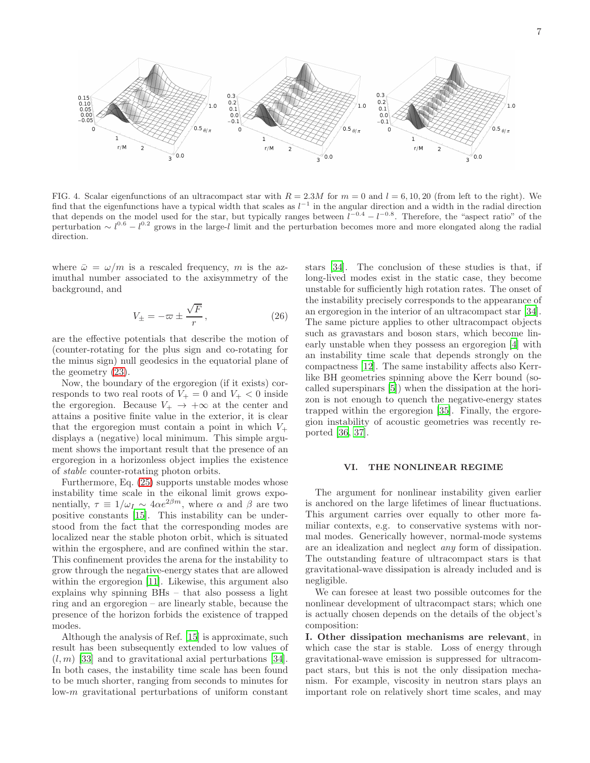

<span id="page-6-1"></span>FIG. 4. Scalar eigenfunctions of an ultracompact star with  $R = 2.3M$  for  $m = 0$  and  $l = 6, 10, 20$  (from left to the right). We find that the eigenfunctions have a typical width that scales as  $l^{-1}$  in the angular direction and a width in the radial direction that depends on the model used for the star, but typically ranges between  $l^{-0.4} - l^{-0.8}$ . Therefore, the "aspect ratio" of the perturbation  $\sim l^{0.6} - l^{0.2}$  grows in the large-l limit and the perturbation becomes more and more elongated along the radial direction.

where  $\bar{\omega} = \omega/m$  is a rescaled frequency, m is the azimuthal number associated to the axisymmetry of the background, and

$$
V_{\pm} = -\varpi \pm \frac{\sqrt{F}}{r},\qquad(26)
$$

are the effective potentials that describe the motion of (counter-rotating for the plus sign and co-rotating for the minus sign) null geodesics in the equatorial plane of the geometry [\(23\)](#page-5-0).

Now, the boundary of the ergoregion (if it exists) corresponds to two real roots of  $V_+ = 0$  and  $V_+ < 0$  inside the ergoregion. Because  $V_+ \rightarrow +\infty$  at the center and attains a positive finite value in the exterior, it is clear that the ergoregion must contain a point in which  $V_+$ displays a (negative) local minimum. This simple argument shows the important result that the presence of an ergoregion in a horizonless object implies the existence of stable counter-rotating photon orbits.

Furthermore, Eq. [\(25\)](#page-5-1) supports unstable modes whose instability time scale in the eikonal limit grows exponentially,  $\tau \equiv 1/\omega_I \sim 4\alpha e^{2\beta m}$ , where  $\alpha$  and  $\beta$  are two positive constants [\[15](#page-8-17)]. This instability can be understood from the fact that the corresponding modes are localized near the stable photon orbit, which is situated within the ergosphere, and are confined within the star. This confinement provides the arena for the instability to grow through the negative-energy states that are allowed within the ergoregion [\[11\]](#page-8-9). Likewise, this argument also explains why spinning BHs – that also possess a light ring and an ergoregion – are linearly stable, because the presence of the horizon forbids the existence of trapped modes.

Although the analysis of Ref. [\[15\]](#page-8-17) is approximate, such result has been subsequently extended to low values of  $(l, m)$  [\[33\]](#page-9-14) and to gravitational axial perturbations [\[34\]](#page-9-15). In both cases, the instability time scale has been found to be much shorter, ranging from seconds to minutes for low-m gravitational perturbations of uniform constant

stars [\[34\]](#page-9-15). The conclusion of these studies is that, if long-lived modes exist in the static case, they become unstable for sufficiently high rotation rates. The onset of the instability precisely corresponds to the appearance of an ergoregion in the interior of an ultracompact star [\[34\]](#page-9-15). The same picture applies to other ultracompact objects such as gravastars and boson stars, which become linearly unstable when they possess an ergoregion [\[4](#page-8-3)] with an instability time scale that depends strongly on the compactness [\[12](#page-8-10)]. The same instability affects also Kerrlike BH geometries spinning above the Kerr bound (socalled superspinars [\[5](#page-8-4)]) when the dissipation at the horizon is not enough to quench the negative-energy states trapped within the ergoregion [\[35\]](#page-9-16). Finally, the ergoregion instability of acoustic geometries was recently reported [\[36,](#page-9-17) [37\]](#page-9-18).

#### <span id="page-6-0"></span>VI. THE NONLINEAR REGIME

The argument for nonlinear instability given earlier is anchored on the large lifetimes of linear fluctuations. This argument carries over equally to other more familiar contexts, e.g. to conservative systems with normal modes. Generically however, normal-mode systems are an idealization and neglect any form of dissipation. The outstanding feature of ultracompact stars is that gravitational-wave dissipation is already included and is negligible.

We can foresee at least two possible outcomes for the nonlinear development of ultracompact stars; which one is actually chosen depends on the details of the object's composition:

I. Other dissipation mechanisms are relevant, in which case the star is stable. Loss of energy through gravitational-wave emission is suppressed for ultracompact stars, but this is not the only dissipation mechanism. For example, viscosity in neutron stars plays an important role on relatively short time scales, and may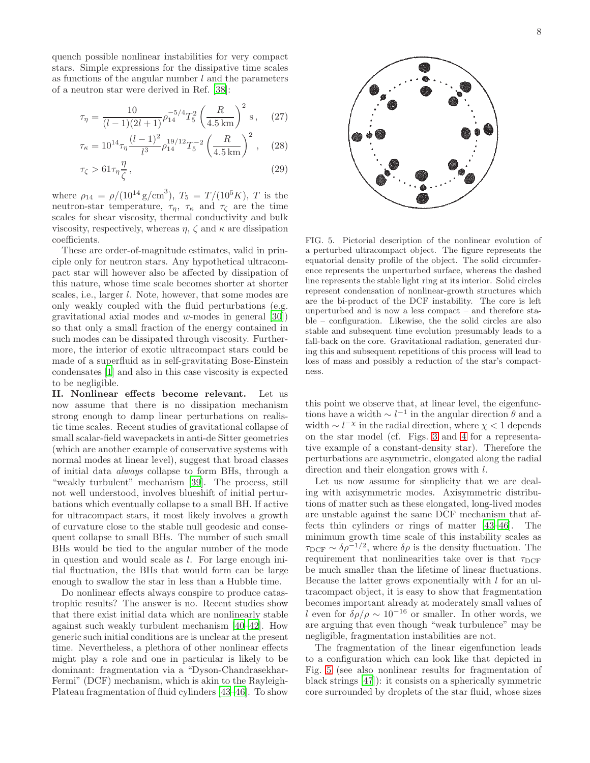quench possible nonlinear instabilities for very compact stars. Simple expressions for the dissipative time scales as functions of the angular number  $l$  and the parameters of a neutron star were derived in Ref. [\[38\]](#page-9-19):

$$
\tau_{\eta} = \frac{10}{(l-1)(2l+1)} \rho_{14}^{-5/4} T_5^2 \left(\frac{R}{4.5 \,\text{km}}\right)^2 \,\text{s},\quad (27)
$$

$$
\tau_{\kappa} = 10^{14} \tau_{\eta} \frac{(l-1)^2}{l^3} \rho_{14}^{19/12} T_5^{-2} \left(\frac{R}{4.5 \,\mathrm{km}}\right)^2 , \quad (28)
$$

$$
\tau_{\zeta} > 61\tau_{\eta} \frac{\eta}{\zeta},\tag{29}
$$

where  $\rho_{14} = \rho/(10^{14} \text{ g/cm}^3)$ ,  $T_5 = T/(10^5 K)$ , T is the neutron-star temperature,  $\tau_{\eta}$ ,  $\tau_{\kappa}$  and  $\tau_{\zeta}$  are the time scales for shear viscosity, thermal conductivity and bulk viscosity, respectively, whereas  $\eta$ ,  $\zeta$  and  $\kappa$  are dissipation coefficients.

These are order-of-magnitude estimates, valid in principle only for neutron stars. Any hypothetical ultracompact star will however also be affected by dissipation of this nature, whose time scale becomes shorter at shorter scales, i.e., larger l. Note, however, that some modes are only weakly coupled with the fluid perturbations (e.g. gravitational axial modes and w-modes in general [\[30\]](#page-9-11)) so that only a small fraction of the energy contained in such modes can be dissipated through viscosity. Furthermore, the interior of exotic ultracompact stars could be made of a superfluid as in self-gravitating Bose-Einstein condensates [\[1](#page-8-0)] and also in this case viscosity is expected to be negligible.

II. Nonlinear effects become relevant. Let us now assume that there is no dissipation mechanism strong enough to damp linear perturbations on realistic time scales. Recent studies of gravitational collapse of small scalar-field wavepackets in anti-de Sitter geometries (which are another example of conservative systems with normal modes at linear level), suggest that broad classes of initial data always collapse to form BHs, through a "weakly turbulent" mechanism [\[39\]](#page-9-20). The process, still not well understood, involves blueshift of initial perturbations which eventually collapse to a small BH. If active for ultracompact stars, it most likely involves a growth of curvature close to the stable null geodesic and consequent collapse to small BHs. The number of such small BHs would be tied to the angular number of the mode in question and would scale as l. For large enough initial fluctuation, the BHs that would form can be large enough to swallow the star in less than a Hubble time.

Do nonlinear effects always conspire to produce catastrophic results? The answer is no. Recent studies show that there exist initial data which are nonlinearly stable against such weakly turbulent mechanism [\[40](#page-9-21)[–42\]](#page-9-22). How generic such initial conditions are is unclear at the present time. Nevertheless, a plethora of other nonlinear effects might play a role and one in particular is likely to be dominant: fragmentation via a "Dyson-Chandrasekhar-Fermi" (DCF) mechanism, which is akin to the Rayleigh-Plateau fragmentation of fluid cylinders [\[43](#page-9-23)[–46](#page-9-24)]. To show



<span id="page-7-0"></span>FIG. 5. Pictorial description of the nonlinear evolution of a perturbed ultracompact object. The figure represents the equatorial density profile of the object. The solid circumference represents the unperturbed surface, whereas the dashed line represents the stable light ring at its interior. Solid circles represent condensation of nonlinear-growth structures which are the bi-product of the DCF instability. The core is left unperturbed and is now a less compact – and therefore stable – configuration. Likewise, the the solid circles are also stable and subsequent time evolution presumably leads to a fall-back on the core. Gravitational radiation, generated during this and subsequent repetitions of this process will lead to loss of mass and possibly a reduction of the star's compactness.

this point we observe that, at linear level, the eigenfunctions have a width  $\sim l^{-1}$  in the angular direction  $\theta$  and a width  $\sim l^{-\chi}$  in the radial direction, where  $\chi < 1$  depends on the star model (cf. Figs. [3](#page-4-1) and [4](#page-6-1) for a representative example of a constant-density star). Therefore the perturbations are asymmetric, elongated along the radial direction and their elongation grows with l.

Let us now assume for simplicity that we are dealing with axisymmetric modes. Axisymmetric distributions of matter such as these elongated, long-lived modes are unstable against the same DCF mechanism that affects thin cylinders or rings of matter [\[43](#page-9-23)[–46\]](#page-9-24). The minimum growth time scale of this instability scales as  $\tau_{\text{DCF}} \sim \delta \rho^{-1/2}$ , where  $\delta \rho$  is the density fluctuation. The requirement that nonlinearities take over is that  $\tau_{\text{DCF}}$ be much smaller than the lifetime of linear fluctuations. Because the latter grows exponentially with  $l$  for an ultracompact object, it is easy to show that fragmentation becomes important already at moderately small values of l even for  $\delta \rho / \rho \sim 10^{-16}$  or smaller. In other words, we are arguing that even though "weak turbulence" may be negligible, fragmentation instabilities are not.

The fragmentation of the linear eigenfunction leads to a configuration which can look like that depicted in Fig. [5](#page-7-0) (see also nonlinear results for fragmentation of black strings [\[47](#page-9-25)]): it consists on a spherically symmetric core surrounded by droplets of the star fluid, whose sizes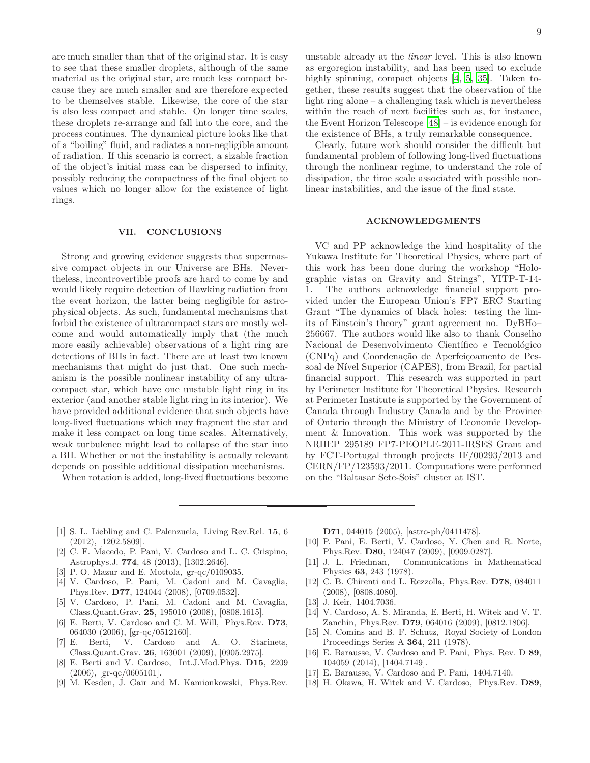are much smaller than that of the original star. It is easy to see that these smaller droplets, although of the same material as the original star, are much less compact because they are much smaller and are therefore expected to be themselves stable. Likewise, the core of the star is also less compact and stable. On longer time scales, these droplets re-arrange and fall into the core, and the process continues. The dynamical picture looks like that of a "boiling" fluid, and radiates a non-negligible amount of radiation. If this scenario is correct, a sizable fraction of the object's initial mass can be dispersed to infinity, possibly reducing the compactness of the final object to values which no longer allow for the existence of light rings.

### VII. CONCLUSIONS

Strong and growing evidence suggests that supermassive compact objects in our Universe are BHs. Nevertheless, incontrovertible proofs are hard to come by and would likely require detection of Hawking radiation from the event horizon, the latter being negligible for astrophysical objects. As such, fundamental mechanisms that forbid the existence of ultracompact stars are mostly welcome and would automatically imply that (the much more easily achievable) observations of a light ring are detections of BHs in fact. There are at least two known mechanisms that might do just that. One such mechanism is the possible nonlinear instability of any ultracompact star, which have one unstable light ring in its exterior (and another stable light ring in its interior). We have provided additional evidence that such objects have long-lived fluctuations which may fragment the star and make it less compact on long time scales. Alternatively, weak turbulence might lead to collapse of the star into a BH. Whether or not the instability is actually relevant depends on possible additional dissipation mechanisms.

When rotation is added, long-lived fluctuations become

unstable already at the linear level. This is also known as ergoregion instability, and has been used to exclude highly spinning, compact objects [\[4](#page-8-3), [5,](#page-8-4) [35\]](#page-9-16). Taken together, these results suggest that the observation of the light ring alone – a challenging task which is nevertheless within the reach of next facilities such as, for instance, the Event Horizon Telescope [\[48\]](#page-9-26) – is evidence enough for the existence of BHs, a truly remarkable consequence.

Clearly, future work should consider the difficult but fundamental problem of following long-lived fluctuations through the nonlinear regime, to understand the role of dissipation, the time scale associated with possible nonlinear instabilities, and the issue of the final state.

### ACKNOWLEDGMENTS

VC and PP acknowledge the kind hospitality of the Yukawa Institute for Theoretical Physics, where part of this work has been done during the workshop "Holographic vistas on Gravity and Strings", YITP-T-14- 1. The authors acknowledge financial support provided under the European Union's FP7 ERC Starting Grant "The dynamics of black holes: testing the limits of Einstein's theory" grant agreement no. DyBHo– 256667. The authors would like also to thank Conselho Nacional de Desenvolvimento Científico e Tecnológico (CNPq) and Coordenação de Aperfeiçoamento de Pessoal de Nível Superior (CAPES), from Brazil, for partial financial support. This research was supported in part by Perimeter Institute for Theoretical Physics. Research at Perimeter Institute is supported by the Government of Canada through Industry Canada and by the Province of Ontario through the Ministry of Economic Development & Innovation. This work was supported by the NRHEP 295189 FP7-PEOPLE-2011-IRSES Grant and by FCT-Portugal through projects IF/00293/2013 and CERN/FP/123593/2011. Computations were performed on the "Baltasar Sete-Sois" cluster at IST.

- <span id="page-8-0"></span>[1] S. L. Liebling and C. Palenzuela, Living Rev.Rel. 15, 6 (2012), [1202.5809].
- <span id="page-8-1"></span>[2] C. F. Macedo, P. Pani, V. Cardoso and L. C. Crispino, Astrophys.J. 774, 48 (2013), [1302.2646].
- <span id="page-8-2"></span>[3] P. O. Mazur and E. Mottola, gr-qc/0109035.
- <span id="page-8-3"></span>[4] V. Cardoso, P. Pani, M. Cadoni and M. Cavaglia, Phys.Rev. D77, 124044 (2008), [0709.0532].
- <span id="page-8-4"></span>[5] V. Cardoso, P. Pani, M. Cadoni and M. Cavaglia, Class.Quant.Grav. 25, 195010 (2008), [0808.1615].
- <span id="page-8-5"></span>[6] E. Berti, V. Cardoso and C. M. Will, Phys.Rev. D73, 064030 (2006), [gr-qc/0512160].
- <span id="page-8-15"></span>[7] E. Berti, V. Cardoso and A. O. Starinets, Class.Quant.Grav. 26, 163001 (2009), [0905.2975].
- <span id="page-8-6"></span>[8] E. Berti and V. Cardoso, Int.J.Mod.Phys. D15, 2209  $(2006)$ , [gr-qc/0605101].
- <span id="page-8-7"></span>[9] M. Kesden, J. Gair and M. Kamionkowski, Phys.Rev.

D71, 044015 (2005), [astro-ph/0411478].

- <span id="page-8-8"></span>[10] P. Pani, E. Berti, V. Cardoso, Y. Chen and R. Norte, Phys.Rev. D80, 124047 (2009), [0909.0287].
- <span id="page-8-9"></span>[11] J. L. Friedman, Communications in Mathematical Physics 63, 243 (1978).
- <span id="page-8-10"></span>[12] C. B. Chirenti and L. Rezzolla, Phys.Rev. D78, 084011 (2008), [0808.4080].
- <span id="page-8-11"></span>[13] J. Keir, 1404.7036.
- <span id="page-8-12"></span>[14] V. Cardoso, A. S. Miranda, E. Berti, H. Witek and V. T. Zanchin, Phys.Rev. D79, 064016 (2009), [0812.1806].
- <span id="page-8-17"></span>[15] N. Comins and B. F. Schutz, Royal Society of London Proceedings Series A 364, 211 (1978).
- <span id="page-8-16"></span>[16] E. Barausse, V. Cardoso and P. Pani, Phys. Rev. D 89, 104059 (2014), [1404.7149].
- <span id="page-8-13"></span>[17] E. Barausse, V. Cardoso and P. Pani, 1404.7140.
- <span id="page-8-14"></span>[18] H. Okawa, H. Witek and V. Cardoso, Phys.Rev. D89,